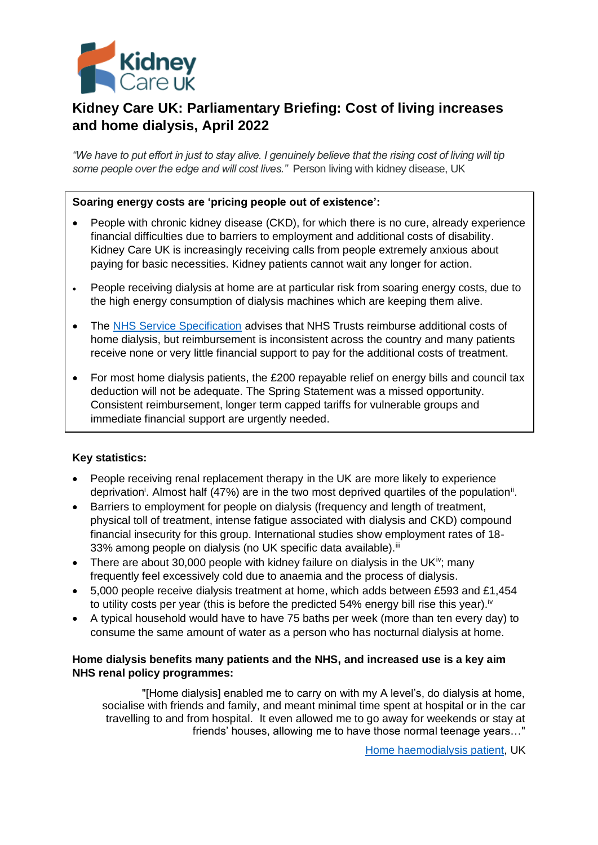

# **Kidney Care UK: Parliamentary Briefing: Cost of living increases and home dialysis, April 2022**

*"We have to put effort in just to stay alive. I genuinely believe that the rising cost of living will tip some people over the edge and will cost lives."* Person living with kidney disease, UK

### **Soaring energy costs are 'pricing people out of existence':**

- People with chronic kidney disease (CKD), for which there is no cure, already experience financial difficulties due to barriers to employment and additional costs of disability. Kidney Care UK is increasingly receiving calls from people extremely anxious about paying for basic necessities. Kidney patients cannot wait any longer for action.
- People receiving dialysis at home are at particular risk from soaring energy costs, due to the high energy consumption of dialysis machines which are keeping them alive.
- The [NHS Service Specification](http://britishrenal.org/wp-content/uploads/2016/10/National-home-adaptation-and-reimbursement-guidance.pdf) advises that NHS Trusts reimburse additional costs of home dialysis, but reimbursement is inconsistent across the country and many patients receive none or very little financial support to pay for the additional costs of treatment.
- For most home dialysis patients, the £200 repayable relief on energy bills and council tax deduction will not be adequate. The Spring Statement was a missed opportunity. Consistent reimbursement, longer term capped tariffs for vulnerable groups and immediate financial support are urgently needed.

# **Key statistics:**

- People receiving renal replacement therapy in the UK are more likely to experience deprivation<sup>i</sup>. Almost half (47%) are in the two most deprived quartiles of the population<sup>ii</sup>.
- Barriers to employment for people on dialysis (frequency and length of treatment, physical toll of treatment, intense fatigue associated with dialysis and CKD) compound financial insecurity for this group. International studies show employment rates of 18- 33% among people on dialysis (no UK specific data available).<sup>iii</sup>
- There are about 30,000 people with kidney failure on dialysis in the UK<sup>iv</sup>; many frequently feel excessively cold due to anaemia and the process of dialysis.
- 5,000 people receive dialysis treatment at home, which adds between £593 and £1,454 to utility costs per year (this is before the predicted 54% energy bill rise this year).<sup>[iv](#page-0-0)</sup>
- A typical household would have to have 75 baths per week (more than ten every day) to consume the same amount of water as a person who has nocturnal dialysis at home.

## **Home dialysis benefits many patients and the NHS, and increased use is a key aim NHS renal policy programmes:**

<span id="page-0-0"></span>"[Home dialysis] enabled me to carry on with my A level's, do dialysis at home, socialise with friends and family, and meant minimal time spent at hospital or in the car travelling to and from hospital. It even allowed me to go away for weekends or stay at friends' houses, allowing me to have those normal teenage years…"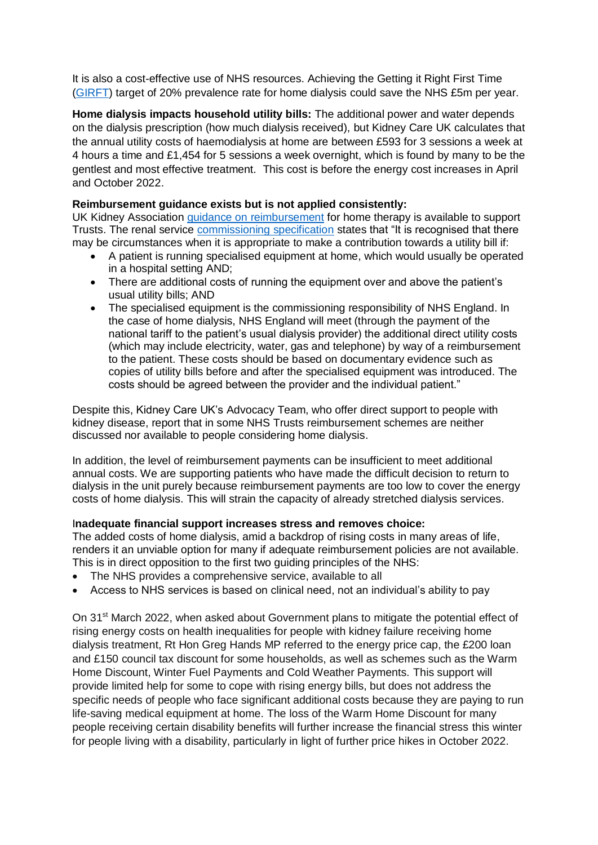It is also a cost-effective use of NHS resources. Achieving the Getting it Right First Time [\(GIRFT\)](https://www.gettingitrightfirsttime.co.uk/medical-specialties/renal-medicine/) target of 20% prevalence rate for home dialysis could save the NHS £5m per year.

**Home dialysis impacts household utility bills:** The additional power and water depends on the dialysis prescription (how much dialysis received), but Kidney Care UK calculates that the annual utility costs of haemodialysis at home are between £593 for 3 sessions a week at 4 hours a time and £1,454 for 5 sessions a week overnight, which is found by many to be the gentlest and most effective treatment. This cost is before the energy cost increases in April and October 2022.

## **Reimbursement guidance exists but is not applied consistently:**

UK Kidney Association [guidance on reimbursement](https://britishrenal.org/wp-content/uploads/2016/10/National-Home-Adaptation-and-Reimbursement-Guidance-for-People-Undertaking-Dialysis-at-Home.pdf) for home therapy is available to support Trusts. The renal service [commissioning specification](https://www.england.nhs.uk/commissioning/wp-content/uploads/sites/12/2015/01/a06-serv-spec-haemodialysis-renl-failr-home.pdf) states that "It is recognised that there may be circumstances when it is appropriate to make a contribution towards a utility bill if:

- A patient is running specialised equipment at home, which would usually be operated in a hospital setting AND;
- There are additional costs of running the equipment over and above the patient's usual utility bills; AND
- The specialised equipment is the commissioning responsibility of NHS England. In the case of home dialysis, NHS England will meet (through the payment of the national tariff to the patient's usual dialysis provider) the additional direct utility costs (which may include electricity, water, gas and telephone) by way of a reimbursement to the patient. These costs should be based on documentary evidence such as copies of utility bills before and after the specialised equipment was introduced. The costs should be agreed between the provider and the individual patient."

Despite this, Kidney Care UK's Advocacy Team, who offer direct support to people with kidney disease, report that in some NHS Trusts reimbursement schemes are neither discussed nor available to people considering home dialysis.

In addition, the level of reimbursement payments can be insufficient to meet additional annual costs. We are supporting patients who have made the difficult decision to return to dialysis in the unit purely because reimbursement payments are too low to cover the energy costs of home dialysis. This will strain the capacity of already stretched dialysis services.

#### I**nadequate financial support increases stress and removes choice:**

The added costs of home dialysis, amid a backdrop of rising costs in many areas of life, renders it an unviable option for many if adequate reimbursement policies are not available. This is in direct opposition to the first two guiding principles of the NHS:

- The NHS provides a comprehensive service, available to all
- Access to NHS services is based on clinical need, not an individual's ability to pay

On 31<sup>st</sup> March 2022, when asked about Government plans to mitigate the potential effect of rising energy costs on health inequalities for people with kidney failure receiving home dialysis treatment, Rt Hon Greg Hands MP referred to the energy price cap, the £200 loan and £150 council tax discount for some households, as well as schemes such as the Warm Home Discount, Winter Fuel Payments and Cold Weather Payments. This support will provide limited help for some to cope with rising energy bills, but does not address the specific needs of people who face significant additional costs because they are paying to run life-saving medical equipment at home. The loss of the Warm Home Discount for many people receiving certain disability benefits will further increase the financial stress this winter for people living with a disability, particularly in light of further price hikes in October 2022.